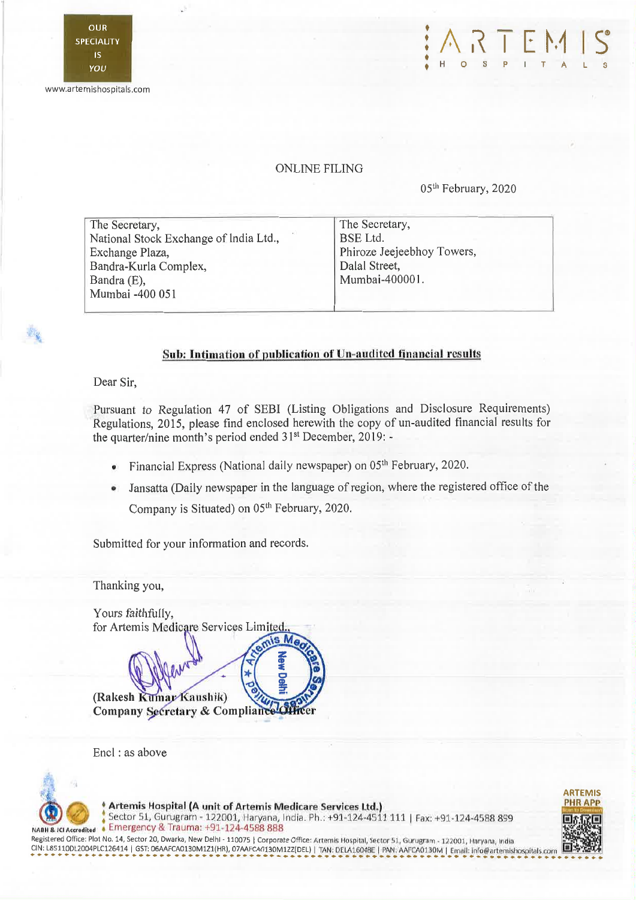





## **ONLINE FILING**

05<sup>th</sup> February, 2020

| The Secretary,                         | The Secretary,             |
|----------------------------------------|----------------------------|
| National Stock Exchange of India Ltd., | <b>BSE</b> Ltd.            |
| Exchange Plaza,                        | Phiroze Jeejeebhoy Towers, |
| Bandra-Kurla Complex,                  | Dalal Street,              |
| Bandra (E),                            | Mumbai-400001.             |
| Mumbai -400 051                        |                            |
|                                        |                            |

## Sub: Intimation of publication of Un-audited financial results

Dear Sir.

Pursuant to Regulation 47 of SEBI (Listing Obligations and Disclosure Requirements) Regulations, 2015, please find enclosed herewith the copy of un-audited financial results for the quarter/nine month's period ended 31<sup>st</sup> December, 2019: -

• Financial Express (National daily newspaper) on  $05<sup>th</sup>$  February, 2020.

s M

• Jansatta (Daily newspaper in the language of region, where the registered office of the Company is Situated) on 05<sup>th</sup> February, 2020.

Submitted for your information and records.

Thanking you,

Yours faithfully, for Artemis Medicare Services Limited.

(Rakesh Kumar Kaushik) Company Secretary & Compliance Of

Encl ; as above



Artemis Hospital (A unit of Artemis Medicare Services Ltd.)

Sector 51, Gurugram - 122001, Haryana, India. Ph.: +91-124-4511 111 | Fax: +91-124-4588 899 Emergency & Trauma: +91-124-4588 888

Registered Office: Plot No. 14, Sector 20, Dwarka, New Delhl - 110075 | Corporate Office: Artemis Hospital, Sector 51, Gurugram - 122001, Haryana, India CIN: L85110DL2004PLC126414 | GST: 06AAFCA0130M1Z1(HR), 07AAFCA0130M1ZZ(DEL) | TAN: DELA16048E | PAN: AAFCA0130M | Email: info@artemishospitals.co

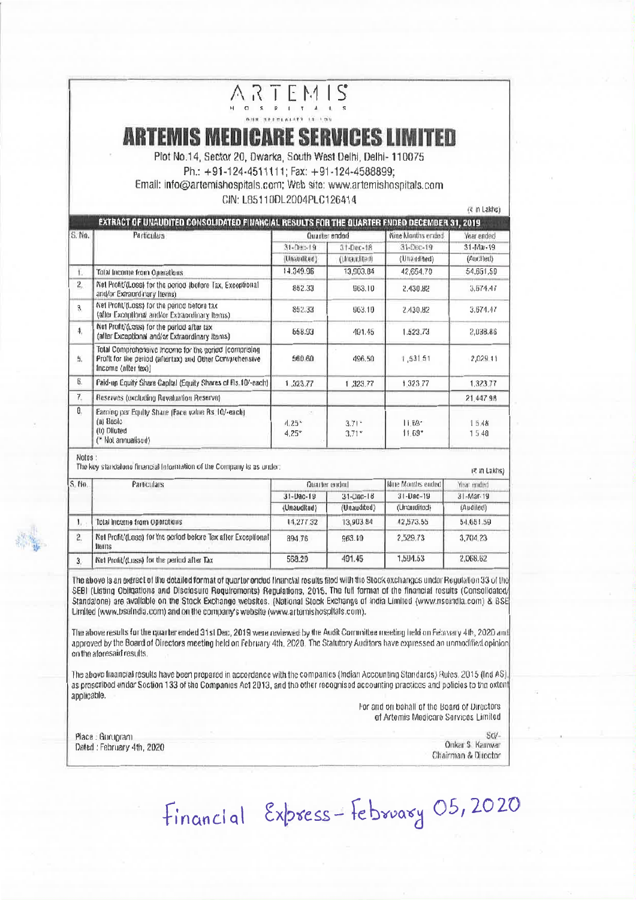## **ARTEMIS MEDICARE SERVICES LIMITED**

ARTEMIS

Plot No.14, Sector 20, Dwarka, South West Delhi. Delhi- 110075 Ph.: +91-124-4511111: Fax: +91-124-4588899: Email: info@artemishospitals.com; Web site: www.artemishospitals.com CIN: L85110DL2004PLC126414

ra in Lakhe'i

|        | EXTRACT OF UNAUDITED CONSOLIDATED FINANCIAL RESULTS FOR THE QUARTER ENDED DECEMBER 31, 2019                                              |                 |                     |                       |               |
|--------|------------------------------------------------------------------------------------------------------------------------------------------|-----------------|---------------------|-----------------------|---------------|
| S. No. | Particulars                                                                                                                              | Quarter ended   |                     | Nine Months ended     | Year ended    |
|        |                                                                                                                                          | $31 - 20 - 19$  | $31 - Dec - 18$     | 31-Dec-19             | 31-Mai-19     |
|        |                                                                                                                                          | (Unatulited)    | (Urraudited)        | (Unandited)           | (Audited)     |
| ι.     | Total Income from Operations                                                                                                             | 14.349.96       | 13,503.84           | 42.654.70             | 54,651,59     |
| $2 -$  | Not Profit/(Logg) for the poriod (bofore Tax, Exceptional<br>and/or Extraordinary Remish                                                 | 852.33          | 963.10              | 2.430.82              | 3.674.47      |
| 3      | Wet Profit/(Loss) for the period before tax<br>(after Exceptional and/or Extraordinary Items).                                           | 852.33          | 963.10              | 2.430.82              | 3.674.47      |
| 4.     | Not Profit/(Loss) for the parlod after tax<br>(after Exceptional and/or Extraordinary Items)                                             | 658.93          | 491.45              | 1.523.73              | 2,038.86      |
| 5.     | Total Comprehensive Income for the period (comprising<br>Profit for the period (aftertax) and Other Comprehensive<br>Income (after tax)) | 560.60          | 496.50              | 1,531.51              | 2,029.11      |
| 6.     | Paid-up Equity Share Capital (Equity Shares of Fis. 104-each)                                                                            | 1,323.77        | 1,323.77            | 1.323.77              | 1,323.77      |
| $7-$   | Reserves (oxcluding Revaluation Reserve)                                                                                                 |                 |                     |                       | 21.447.98     |
| θ.     | Earnisp per Equity Share (Face value Bs. 10/-each).<br>(a) Bosic<br>(0) Diluted<br>("Not annualised)                                     | 4.25<br>$4.25*$ | $3.71 -$<br>$3.71*$ | $11.69 -$<br>$11.69*$ | 15.48<br>1548 |

Notes:

The key standaluse financial information of the Company is as under:

## i≷ in Lakhs)

| S. No. | Particulars                                                             | Quarter ended.                 |                                | Hine Months ended                            | Year ended                          |
|--------|-------------------------------------------------------------------------|--------------------------------|--------------------------------|----------------------------------------------|-------------------------------------|
|        |                                                                         | $31 - 19a - 19$<br>(Unauditud) | $31 - C$ RIC-18<br>(Unaudited) | $31 - \text{Dec} - 19$<br><b>IberibuenUs</b> | $31 - \text{Mar} - 19$<br>(Audibech |
|        |                                                                         |                                |                                |                                              |                                     |
| 2.     | Net Profit/(Loss) for the period before Tax after Exceptional<br>Trains | 894.76                         | 963.10                         | 2.529.73                                     | 3.704.23                            |
| 3.     | Net Prolit/d.uss) for the period after Tax                              | 568.29                         | 401.45                         | 1.504.53                                     | 2,068.62                            |

The above is an extract of the detailed format of quarter ended financial results filed with the Stock exchanges under Requisition 33 of the SEBI (Listing Obligations and Disclosure Requirements) Regulations, 2015. The full format of the financial results (Consolidated/ Standalone) are available on the Stock Exchange websites. (National Stock Exchange of india Limited (www.nscindia.com) & BSE Limited (www.bseindia.com) and on the company's website (www.artemishospitals.com).

The above results for the quarter ended 31st Dec, 2019 were reviewed by the Audit Committee meeting held on February 4th, 2020 and approved by the Board of Directors meeting held on February 4th, 2020. The Statutory Auditors have expressed an unmodified opinion on the atoresaid results.

The above financial results have been propared in accordance with the companies (Indian Accounting Standards) Sules. 2015 (Ind AS). as prescribed under Soction 133 of the Companies Act 2013, and the other recognised accounting practices and policies to the extent applicable.

For and on bohall of the Board of Directors of Artemis Medicare Services Limited

Place : Gurupram Dated: February 4th, 2020

ScV-Onkar S. Kanwar

Chairman & Director

Financial Express-February 05,2020